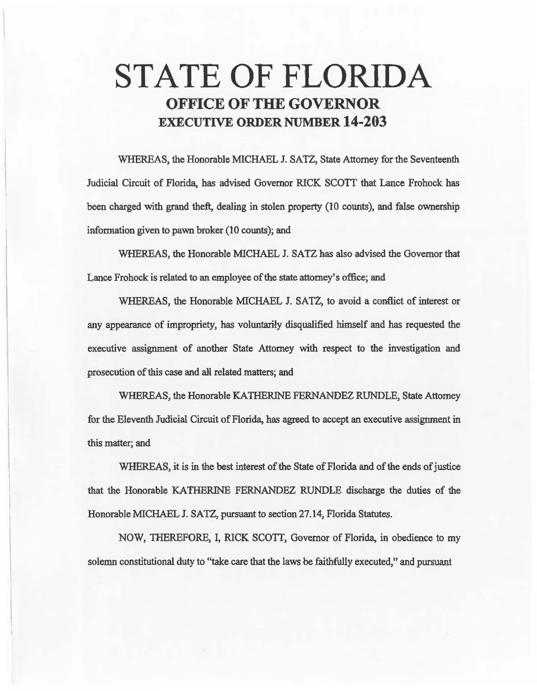# STATE OF FLORIDA OFFICE OF THE GOVERNOR EXECUTIVE ORDER NUMBER 14-203

WHEREAS, the Honorable MICHAEL J. SATZ, State Attorney for the Seventeenth Judicial Circuit of Florida, has advised Governor RICK SCOTT that Lance Frohock has been charged with grand theft, dealing in stolen property (10 counts), and false ownership information given to pawn broker (10 counts); and

WHEREAS, the Honorable MICHAEL J. SATZ has also advised the Governor that Lance Frohock is related to an employee of the state attomey's office; and

WHEREAS, the Honorable MICHAEL J. SATZ, to avoid a conflict of interest or any appeanmce of impropriety, has voluntarily disqualified himself and has requested the executive assignment of another State Attorney with respect to the investigation and prosecution of this case and alil related matters; and

WHEREAS, the Honorable KATHERINE FERNANDEZ RUNDLE, State Attorney for the Eleventh Judicial Circuit of Florida, has agreed to accept an executive assignment in. this matter; and

WHEREAS, it is in the best interest of the State of Florida and of the ends of justice that the Honorable KATHERINE FERNANDEZ RUNDLE discharge the duties of the Honorable MICHAEL J. SATZ, pursuant to section 27.14, Florida Statutes.

NOW, THEREFORE, I, RICK SCOTT, Governor of Florida, in obedience to my solemn constitutional duty to "take care that the laws be faithfully executed," and pursuant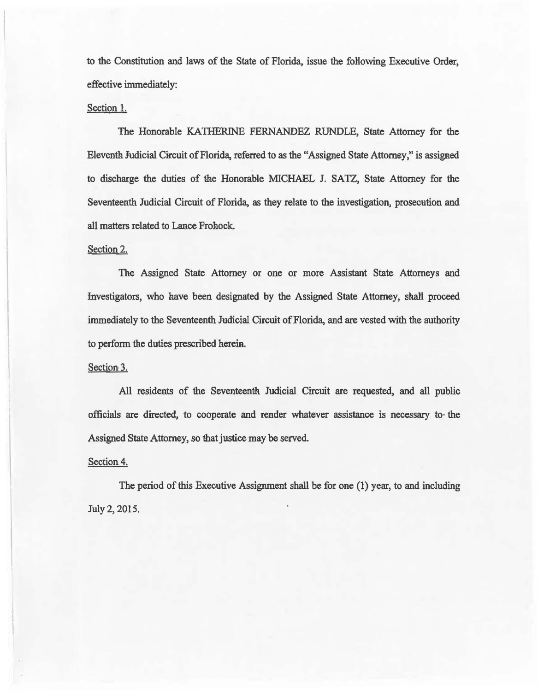to the Constitution and laws of the State of Florida, issue the following Executive Order, effective immediately:

### Section 1.

The Honorable KATHERINE FERNANDEZ RUNDLE, State Attorney for the Eleventh Judicial Circuit of Florida, referred to as the "Assigaed State Attorney»' is assigned to discharge the duties of the Honorable MICHAEL J. SATZ, State Attorney for the Seventeenth Judicial Circuit of Florida, as they relate to the investigation, prosecution and all matters related to Lance Frohock.

#### Section 2.

The Assigned State Attorney or one or more Assistant State Attorneys and Investigators, who have been designated by the Assigned State Attorney, shall proceed immediately to the Seventeenth Judicial Circuit of Florida, and are vested with the authority to perform the duties prescribed herein.

#### Section 3.

All residents of the Seventeenth. Judicial Circuit are requested, and all public officials are directed~ to cooperate and render whatever assistance is necessary to· the Assigned State Attorney, so that justice may be served.

#### Section 4.

The period of this Executive Assignment shall be for one (1) year, to and including July 2, 2015.